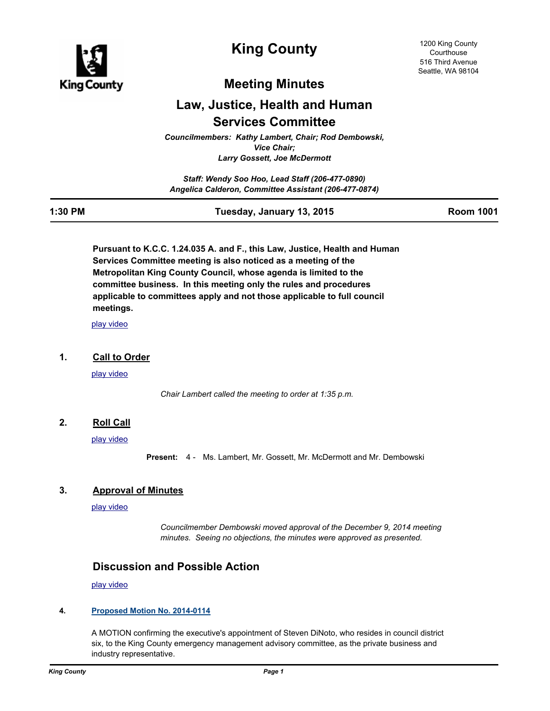

# **King County**

## **Meeting Minutes**

# **Law, Justice, Health and Human Services Committee**

*Councilmembers: Kathy Lambert, Chair; Rod Dembowski, Vice Chair; Larry Gossett, Joe McDermott*

*Staff: Wendy Soo Hoo, Lead Staff (206-477-0890) Angelica Calderon, Committee Assistant (206-477-0874)*

| 1:30 PM | Tuesday, January 13, 2015 | <b>Room 1001</b> |
|---------|---------------------------|------------------|
|         |                           |                  |

**Pursuant to K.C.C. 1.24.035 A. and F., this Law, Justice, Health and Human Services Committee meeting is also noticed as a meeting of the Metropolitan King County Council, whose agenda is limited to the committee business. In this meeting only the rules and procedures applicable to committees apply and not those applicable to full council meetings.**

[play video](http://mkcclegisearch.kingcounty.gov/medialinkgenerator/index.aspx?meid=5131&hsid=253734)

### **1. Call to Order**

[play video](http://mkcclegisearch.kingcounty.gov/medialinkgenerator/index.aspx?meid=5131&hsid=253694)

*Chair Lambert called the meeting to order at 1:35 p.m.*

## **2. Roll Call**

[play video](http://mkcclegisearch.kingcounty.gov/medialinkgenerator/index.aspx?meid=5131&hsid=253695)

**Present:** 4 - Ms. Lambert, Mr. Gossett, Mr. McDermott and Mr. Dembowski

### **3. Approval of Minutes**

[play video](http://mkcclegisearch.kingcounty.gov/medialinkgenerator/index.aspx?meid=5131&hsid=253696)

*Councilmember Dembowski moved approval of the December 9, 2014 meeting minutes. Seeing no objections, the minutes were approved as presented.*

## **Discussion and Possible Action**

[play video](http://mkcclegisearch.kingcounty.gov/medialinkgenerator/index.aspx?meid=5131&hsid=253698)

## **4. [Proposed Motion No. 2014-0114](http://kingcounty.legistar.com/gateway.aspx?m=l&id=/matter.aspx?key=14854)**

A MOTION confirming the executive's appointment of Steven DiNoto, who resides in council district six, to the King County emergency management advisory committee, as the private business and industry representative.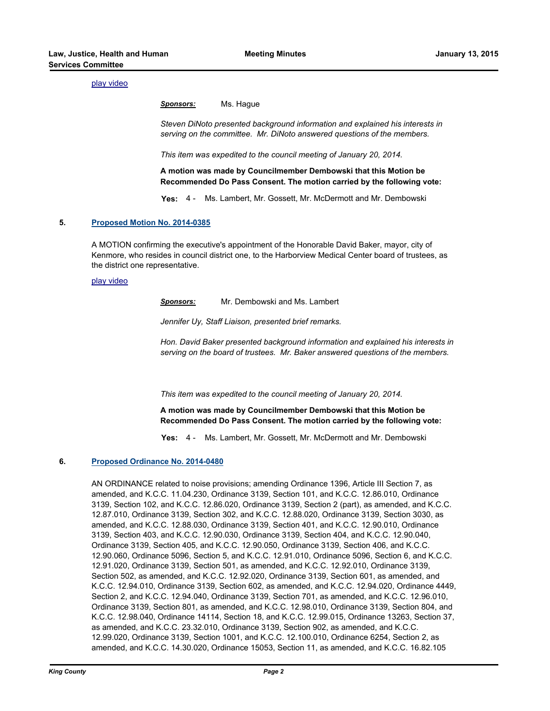#### [play video](http://mkcclegisearch.kingcounty.gov/medialinkgenerator/index.aspx?meid=5131&hsid=253699)

*Sponsors:* Ms. Hague

*Steven DiNoto presented background information and explained his interests in serving on the committee. Mr. DiNoto answered questions of the members.*

*This item was expedited to the council meeting of January 20, 2014.*

**A motion was made by Councilmember Dembowski that this Motion be Recommended Do Pass Consent. The motion carried by the following vote:**

**Yes:** 4 - Ms. Lambert, Mr. Gossett, Mr. McDermott and Mr. Dembowski

#### **5. [Proposed Motion No. 2014-0385](http://kingcounty.legistar.com/gateway.aspx?m=l&id=/matter.aspx?key=15409)**

A MOTION confirming the executive's appointment of the Honorable David Baker, mayor, city of Kenmore, who resides in council district one, to the Harborview Medical Center board of trustees, as the district one representative.

#### [play video](http://mkcclegisearch.kingcounty.gov/medialinkgenerator/index.aspx?meid=5131&hsid=253700)

*Sponsors:* Mr. Dembowski and Ms. Lambert

*Jennifer Uy, Staff Liaison, presented brief remarks.*

*Hon. David Baker presented background information and explained his interests in serving on the board of trustees. Mr. Baker answered questions of the members.*

*This item was expedited to the council meeting of January 20, 2014.*

**A motion was made by Councilmember Dembowski that this Motion be Recommended Do Pass Consent. The motion carried by the following vote:**

**Yes:** 4 - Ms. Lambert, Mr. Gossett, Mr. McDermott and Mr. Dembowski

#### **6. [Proposed Ordinance No. 2014-0480](http://kingcounty.legistar.com/gateway.aspx?m=l&id=/matter.aspx?key=15600)**

AN ORDINANCE related to noise provisions; amending Ordinance 1396, Article III Section 7, as amended, and K.C.C. 11.04.230, Ordinance 3139, Section 101, and K.C.C. 12.86.010, Ordinance 3139, Section 102, and K.C.C. 12.86.020, Ordinance 3139, Section 2 (part), as amended, and K.C.C. 12.87.010, Ordinance 3139, Section 302, and K.C.C. 12.88.020, Ordinance 3139, Section 3030, as amended, and K.C.C. 12.88.030, Ordinance 3139, Section 401, and K.C.C. 12.90.010, Ordinance 3139, Section 403, and K.C.C. 12.90.030, Ordinance 3139, Section 404, and K.C.C. 12.90.040, Ordinance 3139, Section 405, and K.C.C. 12.90.050, Ordinance 3139, Section 406, and K.C.C. 12.90.060, Ordinance 5096, Section 5, and K.C.C. 12.91.010, Ordinance 5096, Section 6, and K.C.C. 12.91.020, Ordinance 3139, Section 501, as amended, and K.C.C. 12.92.010, Ordinance 3139, Section 502, as amended, and K.C.C. 12.92.020, Ordinance 3139, Section 601, as amended, and K.C.C. 12.94.010, Ordinance 3139, Section 602, as amended, and K.C.C. 12.94.020, Ordinance 4449, Section 2, and K.C.C. 12.94.040, Ordinance 3139, Section 701, as amended, and K.C.C. 12.96.010, Ordinance 3139, Section 801, as amended, and K.C.C. 12.98.010, Ordinance 3139, Section 804, and K.C.C. 12.98.040, Ordinance 14114, Section 18, and K.C.C. 12.99.015, Ordinance 13263, Section 37, as amended, and K.C.C. 23.32.010, Ordinance 3139, Section 902, as amended, and K.C.C. 12.99.020, Ordinance 3139, Section 1001, and K.C.C. 12.100.010, Ordinance 6254, Section 2, as amended, and K.C.C. 14.30.020, Ordinance 15053, Section 11, as amended, and K.C.C. 16.82.105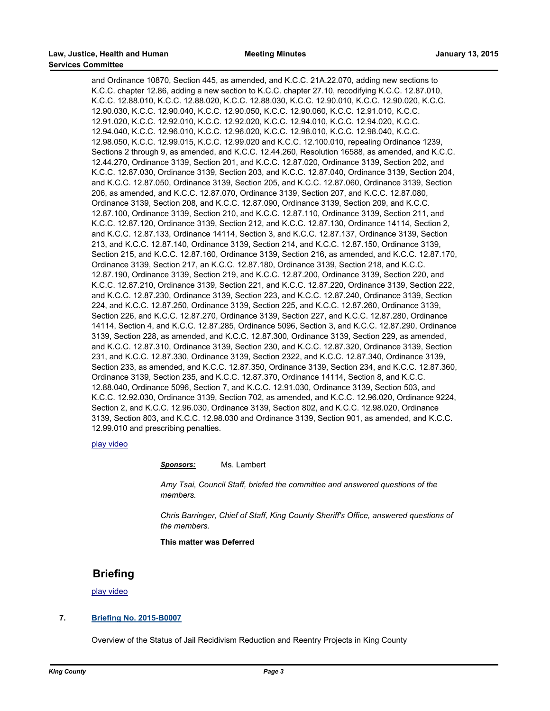and Ordinance 10870, Section 445, as amended, and K.C.C. 21A.22.070, adding new sections to K.C.C. chapter 12.86, adding a new section to K.C.C. chapter 27.10, recodifying K.C.C. 12.87.010, K.C.C. 12.88.010, K.C.C. 12.88.020, K.C.C. 12.88.030, K.C.C. 12.90.010, K.C.C. 12.90.020, K.C.C. 12.90.030, K.C.C. 12.90.040, K.C.C. 12.90.050, K.C.C. 12.90.060, K.C.C. 12.91.010, K.C.C. 12.91.020, K.C.C. 12.92.010, K.C.C. 12.92.020, K.C.C. 12.94.010, K.C.C. 12.94.020, K.C.C. 12.94.040, K.C.C. 12.96.010, K.C.C. 12.96.020, K.C.C. 12.98.010, K.C.C. 12.98.040, K.C.C. 12.98.050, K.C.C. 12.99.015, K.C.C. 12.99.020 and K.C.C. 12.100.010, repealing Ordinance 1239, Sections 2 through 9, as amended, and K.C.C. 12.44.260, Resolution 16588, as amended, and K.C.C. 12.44.270, Ordinance 3139, Section 201, and K.C.C. 12.87.020, Ordinance 3139, Section 202, and K.C.C. 12.87.030, Ordinance 3139, Section 203, and K.C.C. 12.87.040, Ordinance 3139, Section 204, and K.C.C. 12.87.050, Ordinance 3139, Section 205, and K.C.C. 12.87.060, Ordinance 3139, Section 206, as amended, and K.C.C. 12.87.070, Ordinance 3139, Section 207, and K.C.C. 12.87.080, Ordinance 3139, Section 208, and K.C.C. 12.87.090, Ordinance 3139, Section 209, and K.C.C. 12.87.100, Ordinance 3139, Section 210, and K.C.C. 12.87.110, Ordinance 3139, Section 211, and K.C.C. 12.87.120, Ordinance 3139, Section 212, and K.C.C. 12.87.130, Ordinance 14114, Section 2, and K.C.C. 12.87.133, Ordinance 14114, Section 3, and K.C.C. 12.87.137, Ordinance 3139, Section 213, and K.C.C. 12.87.140, Ordinance 3139, Section 214, and K.C.C. 12.87.150, Ordinance 3139, Section 215, and K.C.C. 12.87.160, Ordinance 3139, Section 216, as amended, and K.C.C. 12.87.170, Ordinance 3139, Section 217, an K.C.C. 12.87.180, Ordinance 3139, Section 218, and K.C.C. 12.87.190, Ordinance 3139, Section 219, and K.C.C. 12.87.200, Ordinance 3139, Section 220, and K.C.C. 12.87.210, Ordinance 3139, Section 221, and K.C.C. 12.87.220, Ordinance 3139, Section 222, and K.C.C. 12.87.230, Ordinance 3139, Section 223, and K.C.C. 12.87.240, Ordinance 3139, Section 224, and K.C.C. 12.87.250, Ordinance 3139, Section 225, and K.C.C. 12.87.260, Ordinance 3139, Section 226, and K.C.C. 12.87.270, Ordinance 3139, Section 227, and K.C.C. 12.87.280, Ordinance 14114, Section 4, and K.C.C. 12.87.285, Ordinance 5096, Section 3, and K.C.C. 12.87.290, Ordinance 3139, Section 228, as amended, and K.C.C. 12.87.300, Ordinance 3139, Section 229, as amended, and K.C.C. 12.87.310, Ordinance 3139, Section 230, and K.C.C. 12.87.320, Ordinance 3139, Section 231, and K.C.C. 12.87.330, Ordinance 3139, Section 2322, and K.C.C. 12.87.340, Ordinance 3139, Section 233, as amended, and K.C.C. 12.87.350, Ordinance 3139, Section 234, and K.C.C. 12.87.360, Ordinance 3139, Section 235, and K.C.C. 12.87.370, Ordinance 14114, Section 8, and K.C.C. 12.88.040, Ordinance 5096, Section 7, and K.C.C. 12.91.030, Ordinance 3139, Section 503, and K.C.C. 12.92.030, Ordinance 3139, Section 702, as amended, and K.C.C. 12.96.020, Ordinance 9224, Section 2, and K.C.C. 12.96.030, Ordinance 3139, Section 802, and K.C.C. 12.98.020, Ordinance 3139, Section 803, and K.C.C. 12.98.030 and Ordinance 3139, Section 901, as amended, and K.C.C. 12.99.010 and prescribing penalties.

#### [play video](http://mkcclegisearch.kingcounty.gov/medialinkgenerator/index.aspx?meid=5131&hsid=253701)

*Sponsors:* Ms. Lambert

*Amy Tsai, Council Staff, briefed the committee and answered questions of the members.*

*Chris Barringer, Chief of Staff, King County Sheriff's Office, answered questions of the members.*

**This matter was Deferred**

### **Briefing**

[play video](http://mkcclegisearch.kingcounty.gov/medialinkgenerator/index.aspx?meid=5131&hsid=253725)

#### **7. [Briefing No. 2015-B0007](http://kingcounty.legistar.com/gateway.aspx?m=l&id=/matter.aspx?key=15690)**

Overview of the Status of Jail Recidivism Reduction and Reentry Projects in King County